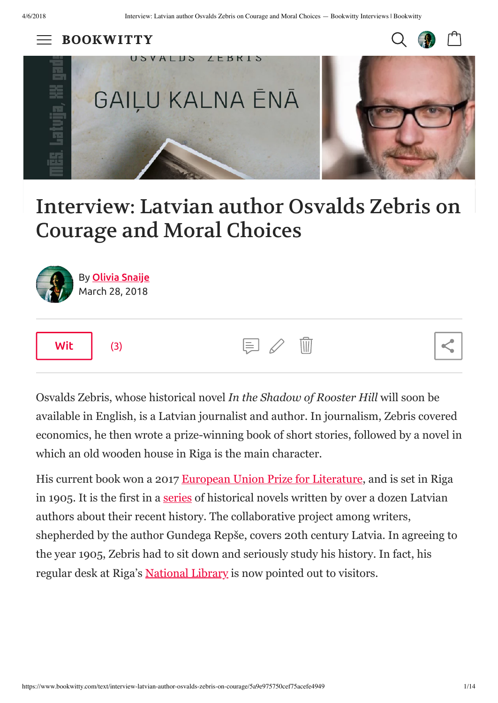**BOOKWITTY** 





# Interview: Latvian author Osvalds Zebris on Courage and Moral Choices



Osvalds Zebris, whose historical novel *In the Shadow of Rooster Hill* will soon be available in English, is a Latvian journalist and author. In journalism, Zebris covered economics, he then wrote a prize-winning book of short stories, followed by a novel in which an old wooden house in Riga is the main character.

His current book won a 2017 [European Union Prize for Literature,](http://www.euprizeliterature.eu/author/2017/osvalds-zebris) and is set in Riga in 1905. It is the first in a [series](http://www.latvianliterature.lv/en/news/the-series-we-latvia-the-20th-century-13-writers-talk-about-their-country-s-history) of historical novels written by over a dozen Latvian authors about their recent history. The collaborative project among writers, shepherded by the author Gundega Repše, covers 20th century Latvia. In agreeing to the year 1905, Zebris had to sit down and seriously study his history. In fact, his regular desk at Riga's [National Library](http://ture.lnb.lv/en.html) is now pointed out to visitors.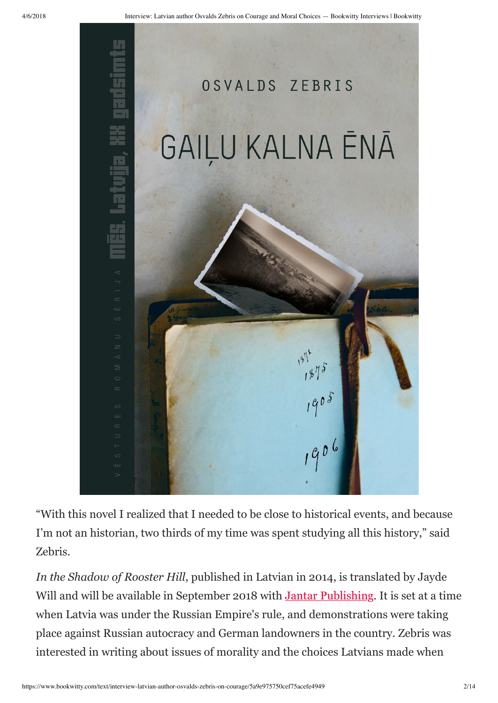

"With this novel I realized that I needed to be close to historical events, and because I'm not an historian, two thirds of my time was spent studying all this history," said Zebris.

*In the Shadow of Rooster Hill*, published in Latvian in 2014, is translated by Jayde Will and will be available in September 2018 with **[Jantar Publishing](http://www.jantarpublishing.com/)**. It is set at a time when Latvia was under the Russian Empire's rule, and demonstrations were taking place against Russian autocracy and German landowners in the country. Zebris was interested in writing about issues of morality and the choices Latvians made when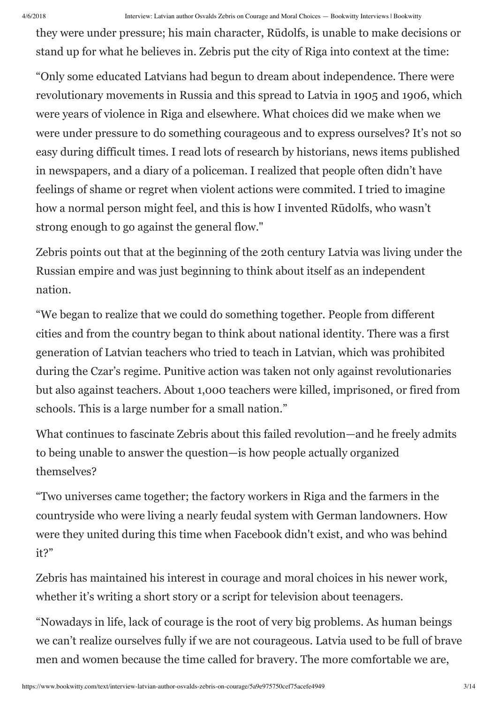#### 4/6/2018 Interview: Latvian author Osvalds Zebris on Courage and Moral Choices — Bookwitty Interviews | Bookwitty

they were under pressure; his main character, Rūdolfs, is unable to make decisions or stand up for what he believes in. Zebris put the city of Riga into context at the time:

"Only some educated Latvians had begun to dream about independence. There were revolutionary movements in Russia and this spread to Latvia in 1905 and 1906, which were years of violence in Riga and elsewhere. What choices did we make when we were under pressure to do something courageous and to express ourselves? It's not so easy during difficult times. I read lots of research by historians, news items published in newspapers, and a diary of a policeman. I realized that people often didn't have feelings of shame or regret when violent actions were commited. I tried to imagine how a normal person might feel, and this is how I invented Rūdolfs, who wasn't strong enough to go against the general flow."

Zebris points out that at the beginning of the 20th century Latvia was living under the Russian empire and was just beginning to think about itself as an independent nation.

"We began to realize that we could do something together. People from different cities and from the country began to think about national identity. There was a first generation of Latvian teachers who tried to teach in Latvian, which was prohibited during the Czar's regime. Punitive action was taken not only against revolutionaries but also against teachers. About 1,000 teachers were killed, imprisoned, or fired from schools. This is a large number for a small nation."

What continues to fascinate Zebris about this failed revolution—and he freely admits to being unable to answer the question—is how people actually organized themselves?

"Two universes came together; the factory workers in Riga and the farmers in the countryside who were living a nearly feudal system with German landowners. How were they united during this time when Facebook didn't exist, and who was behind it?"

Zebris has maintained his interest in courage and moral choices in his newer work, whether it's writing a short story or a script for television about teenagers.

"Nowadays in life, lack of courage is the root of very big problems. As human beings we can't realize ourselves fully if we are not courageous. Latvia used to be full of brave men and women because the time called for bravery. The more comfortable we are,